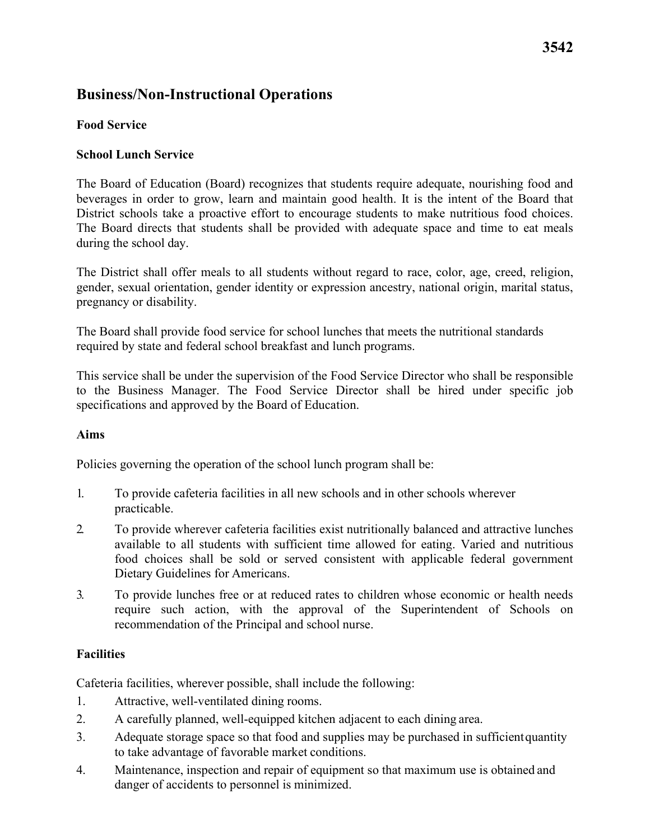# **Business/Non-Instructional Operations**

## **Food Service**

## **School Lunch Service**

 during the school day. The Board of Education (Board) recognizes that students require adequate, nourishing food and beverages in order to grow, learn and maintain good health. It is the intent of the Board that District schools take a proactive effort to encourage students to make nutritious food choices. The Board directs that students shall be provided with adequate space and time to eat meals

The District shall offer meals to all students without regard to race, color, age, creed, religion, gender, sexual orientation, gender identity or expression ancestry, national origin, marital status, pregnancy or disability.

 The Board shall provide food service for school lunches that meets the nutritional standards required by state and federal school breakfast and lunch programs.

This service shall be under the supervision of the Food Service Director who shall be responsible to the Business Manager. The Food Service Director shall be hired under specific job specifications and approved by the Board of Education.

## **Aims**

Policies governing the operation of the school lunch program shall be:

- 1. To provide cafeteria facilities in all new schools and in other schools wherever practicable.
- Dietary Guidelines for Americans. 2. To provide wherever cafeteria facilities exist nutritionally balanced and attractive lunches available to all students with sufficient time allowed for eating. Varied and nutritious food choices shall be sold or served consistent with applicable federal government
- recommendation of the Principal and school nurse. 3. To provide lunches free or at reduced rates to children whose economic or health needs require such action, with the approval of the Superintendent of Schools on

## **Facilities**

Cafeteria facilities, wherever possible, shall include the following:

- 1. Attractive, well-ventilated dining rooms.
- 2. A carefully planned, well-equipped kitchen adjacent to each dining area.
- to take advantage of favorable market conditions. 3. Adequate storage space so that food and supplies may be purchased in sufficientquantity
- danger of accidents to personnel is minimized. 4. Maintenance, inspection and repair of equipment so that maximum use is obtained and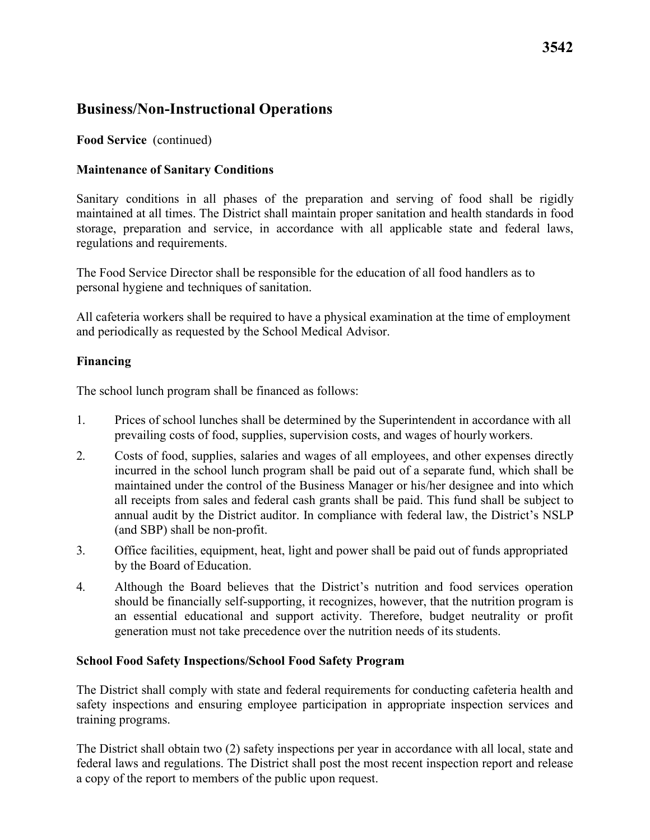# **Business/Non-Instructional Operations**

**Food Service** (continued)

## **Maintenance of Sanitary Conditions**

Sanitary conditions in all phases of the preparation and serving of food shall be rigidly maintained at all times. The District shall maintain proper sanitation and health standards in food storage, preparation and service, in accordance with all applicable state and federal laws, regulations and requirements.

The Food Service Director shall be responsible for the education of all food handlers as to personal hygiene and techniques of sanitation.

All cafeteria workers shall be required to have a physical examination at the time of employment and periodically as requested by the School Medical Advisor.

## **Financing**

The school lunch program shall be financed as follows:

- prevailing costs of food, supplies, supervision costs, and wages of hourly workers. 1. Prices of school lunches shall be determined by the Superintendent in accordance with all
- (and SBP) shall be non-profit. 2. Costs of food, supplies, salaries and wages of all employees, and other expenses directly incurred in the school lunch program shall be paid out of a separate fund, which shall be maintained under the control of the Business Manager or his/her designee and into which all receipts from sales and federal cash grants shall be paid. This fund shall be subject to annual audit by the District auditor. In compliance with federal law, the District's NSLP
- by the Board of Education. 3. Office facilities, equipment, heat, light and power shall be paid out of funds appropriated
- generation must not take precedence over the nutrition needs of its students. 4. Although the Board believes that the District's nutrition and food services operation should be financially self-supporting, it recognizes, however, that the nutrition program is an essential educational and support activity. Therefore, budget neutrality or profit

## **School Food Safety Inspections/School Food Safety Program**

The District shall comply with state and federal requirements for conducting cafeteria health and safety inspections and ensuring employee participation in appropriate inspection services and training programs.

The District shall obtain two (2) safety inspections per year in accordance with all local, state and federal laws and regulations. The District shall post the most recent inspection report and release a copy of the report to members of the public upon request.